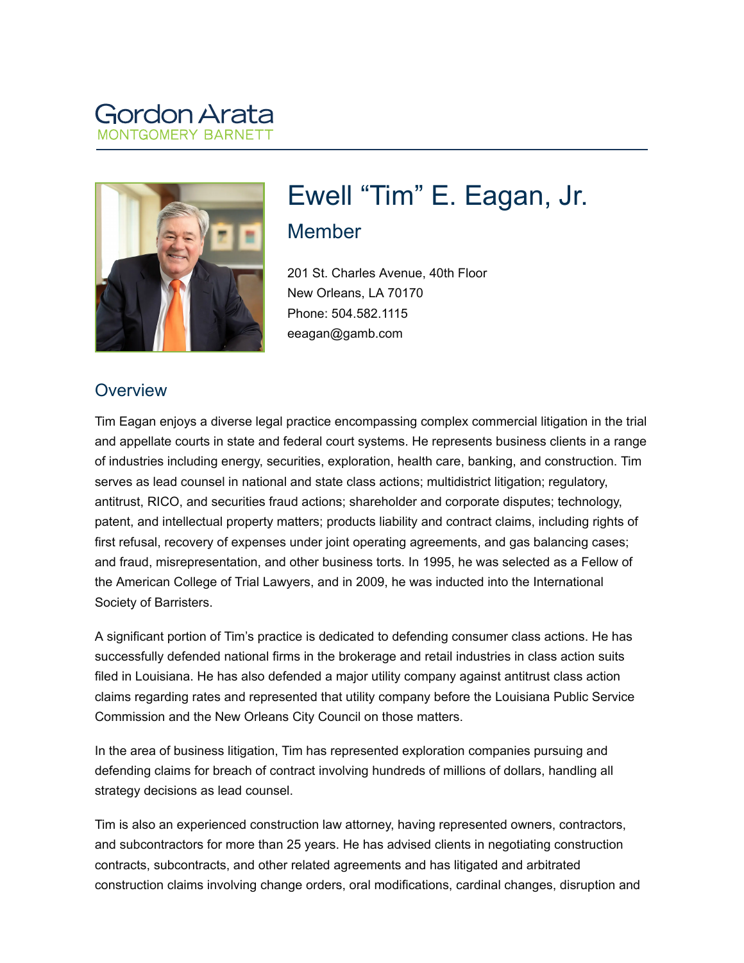# Gordon Aral



# Ewell "Tim" E. Eagan, Jr. Member

201 St. Charles Avenue, 40th Floor New Orleans, LA 70170 Phone: 504.582.1115 eeagan@gamb.com

#### **Overview**

Tim Eagan enjoys a diverse legal practice encompassing complex commercial litigation in the trial and appellate courts in state and federal court systems. He represents business clients in a range of industries including energy, securities, exploration, health care, banking, and construction. Tim serves as lead counsel in national and state class actions; multidistrict litigation; regulatory, antitrust, RICO, and securities fraud actions; shareholder and corporate disputes; technology, patent, and intellectual property matters; products liability and contract claims, including rights of first refusal, recovery of expenses under joint operating agreements, and gas balancing cases; and fraud, misrepresentation, and other business torts. In 1995, he was selected as a Fellow of the American College of Trial Lawyers, and in 2009, he was inducted into the International Society of Barristers.

A significant portion of Tim's practice is dedicated to defending consumer class actions. He has successfully defended national firms in the brokerage and retail industries in class action suits filed in Louisiana. He has also defended a major utility company against antitrust class action claims regarding rates and represented that utility company before the Louisiana Public Service Commission and the New Orleans City Council on those matters.

In the area of business litigation, Tim has represented exploration companies pursuing and defending claims for breach of contract involving hundreds of millions of dollars, handling all strategy decisions as lead counsel.

Tim is also an experienced construction law attorney, having represented owners, contractors, and subcontractors for more than 25 years. He has advised clients in negotiating construction contracts, subcontracts, and other related agreements and has litigated and arbitrated construction claims involving change orders, oral modifications, cardinal changes, disruption and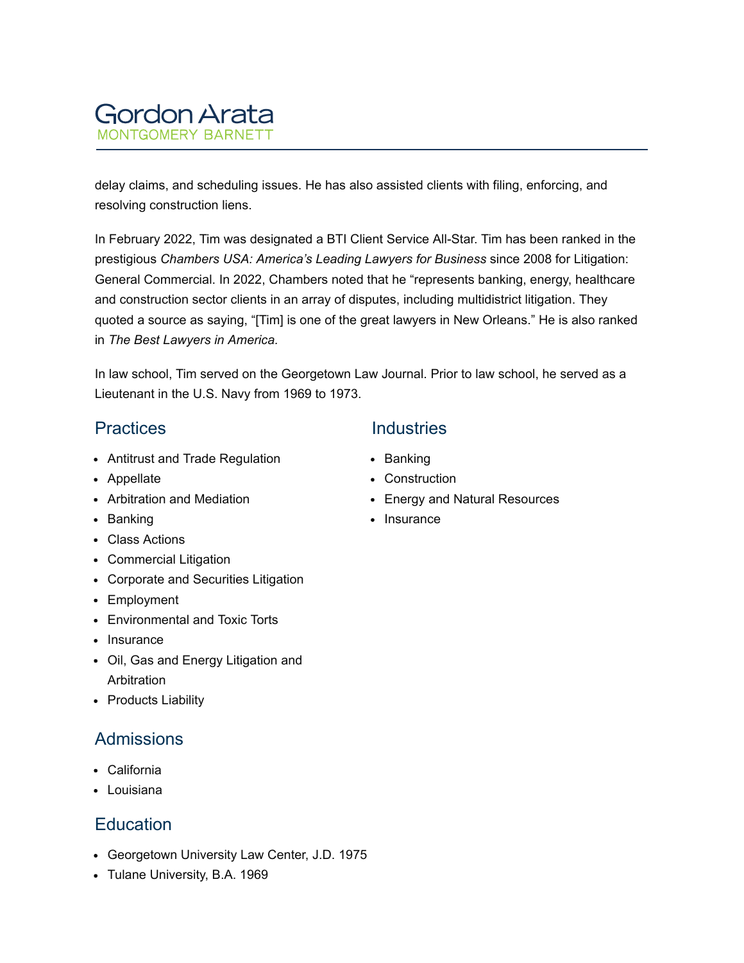

delay claims, and scheduling issues. He has also assisted clients with filing, enforcing, and resolving construction liens.

In February 2022, Tim was designated a BTI Client Service All-Star. Tim has been ranked in the prestigious *Chambers USA: America's Leading Lawyers for Business* since 2008 for Litigation: General Commercial. In 2022, Chambers noted that he "represents banking, energy, healthcare and construction sector clients in an array of disputes, including multidistrict litigation. They quoted a source as saying, "[Tim] is one of the great lawyers in New Orleans." He is also ranked in *The Best Lawyers in America.*

In law school, Tim served on the Georgetown Law Journal. Prior to law school, he served as a Lieutenant in the U.S. Navy from 1969 to 1973.

#### **Practices**

- Antitrust and Trade Regulation
- Appellate
- Arbitration and Mediation
- Banking
- Class Actions
- Commercial Litigation
- Corporate and Securities Litigation
- Employment
- Environmental and Toxic Torts
- Insurance
- Oil, Gas and Energy Litigation and Arbitration
- Products Liability

### Admissions

- California
- Louisiana

# **Education**

- Georgetown University Law Center, J.D. 1975
- Tulane University, B.A. 1969

#### **Industries**

- Banking
- Construction
- Energy and Natural Resources
- Insurance